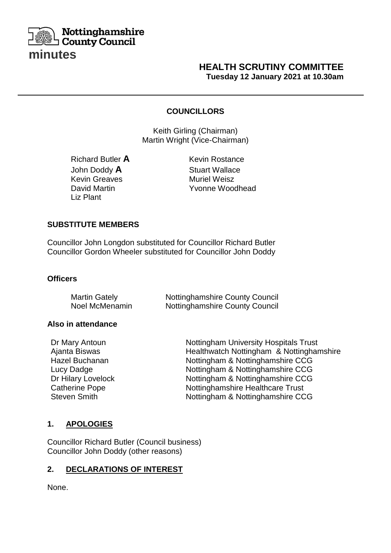

# **HEALTH SCRUTINY COMMITTEE Tuesday 12 January 2021 at 10.30am**

#### **COUNCILLORS**

**Keith Girling (Chairman)** Martin Wright (Vice-Chairman)

Richard Butler **A** Kevin Rostance John Doddy **A** Stuart Wallace<br>
Kevin Greaves Muriel Weisz Kevin Greaves **Muriel Weisz** Liz Plant

David Martin Yvonne Woodhead

### **SUBSTITUTE MEMBERS**

Councillor John Longdon substituted for Councillor Richard Butler Councillor Gordon Wheeler substituted for Councillor John Doddy

**SCRIPTION** 

#### **Officers**

| <b>Martin Gately</b> | <b>Nottinghamshire County Council</b> |
|----------------------|---------------------------------------|
| Noel McMenamin       | <b>Nottinghamshire County Council</b> |

#### **Also in attendance**

| Dr Mary Antoun        | <b>Nottingham University Hospitals Trust</b> |
|-----------------------|----------------------------------------------|
| Ajanta Biswas         | Healthwatch Nottingham & Nottinghamshire     |
| Hazel Buchanan        | Nottingham & Nottinghamshire CCG             |
| Lucy Dadge            | Nottingham & Nottinghamshire CCG             |
| Dr Hilary Lovelock    | Nottingham & Nottinghamshire CCG             |
| <b>Catherine Pope</b> | Nottinghamshire Healthcare Trust             |
| <b>Steven Smith</b>   | Nottingham & Nottinghamshire CCG             |

### **1. APOLOGIES**

Councillor Richard Butler (Council business) Councillor John Doddy (other reasons)

### **2. DECLARATIONS OF INTEREST**

None.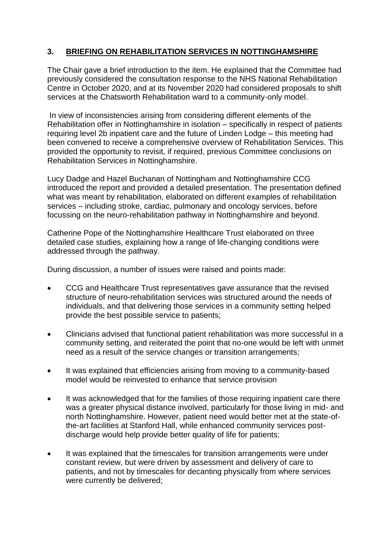# **3. BRIEFING ON REHABILITATION SERVICES IN NOTTINGHAMSHIRE**

The Chair gave a brief introduction to the item. He explained that the Committee had previously considered the consultation response to the NHS National Rehabilitation Centre in October 2020, and at its November 2020 had considered proposals to shift services at the Chatsworth Rehabilitation ward to a community-only model.

In view of inconsistencies arising from considering different elements of the Rehabilitation offer in Nottinghamshire in isolation – specifically in respect of patients requiring level 2b inpatient care and the future of Linden Lodge – this meeting had been convened to receive a comprehensive overview of Rehabilitation Services. This provided the opportunity to revisit, if required, previous Committee conclusions on Rehabilitation Services in Nottinghamshire.

Lucy Dadge and Hazel Buchanan of Nottingham and Nottinghamshire CCG introduced the report and provided a detailed presentation. The presentation defined what was meant by rehabilitation, elaborated on different examples of rehabilitation services – including stroke, cardiac, pulmonary and oncology services, before focussing on the neuro-rehabilitation pathway in Nottinghamshire and beyond.

Catherine Pope of the Nottinghamshire Healthcare Trust elaborated on three detailed case studies, explaining how a range of life-changing conditions were addressed through the pathway.

During discussion, a number of issues were raised and points made:

- CCG and Healthcare Trust representatives gave assurance that the revised structure of neuro-rehabilitation services was structured around the needs of individuals, and that delivering those services in a community setting helped provide the best possible service to patients;
- Clinicians advised that functional patient rehabilitation was more successful in a community setting, and reiterated the point that no-one would be left with unmet need as a result of the service changes or transition arrangements;
- It was explained that efficiencies arising from moving to a community-based model would be reinvested to enhance that service provision
- It was acknowledged that for the families of those requiring inpatient care there was a greater physical distance involved, particularly for those living in mid- and north Nottinghamshire. However, patient need would better met at the state-ofthe-art facilities at Stanford Hall, while enhanced community services postdischarge would help provide better quality of life for patients;
- It was explained that the timescales for transition arrangements were under constant review, but were driven by assessment and delivery of care to patients, and not by timescales for decanting physically from where services were currently be delivered;